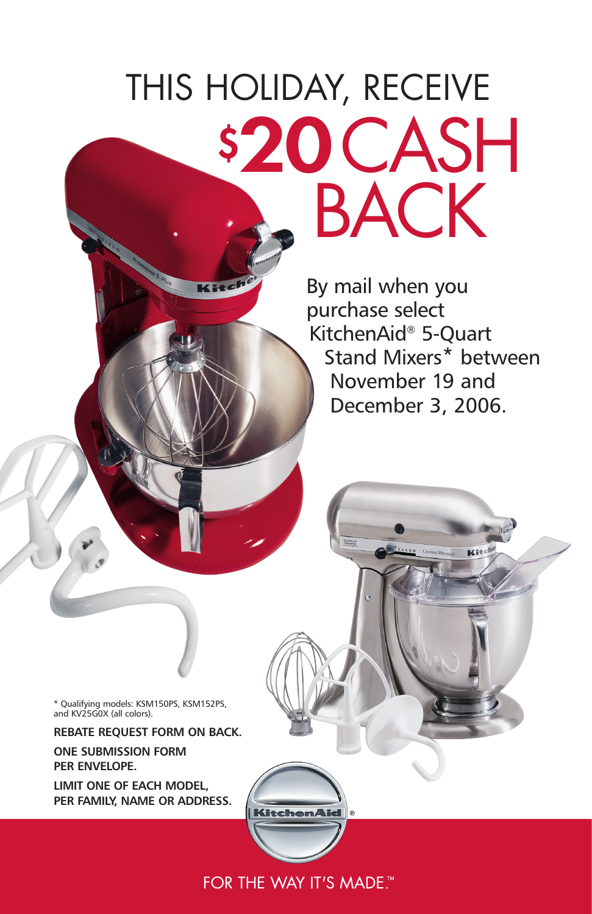# THIS HOLIDAY, RECEIVE \$20 CASH

 $2240$ 

By mail when you purchase select .<br>KitchenAid® 5-Quart Stand Mixers\* between November 19 and December 3, 2006.

\* Qualifying models: KSM150PS, KSM152PS, and KV25G0X (all colors).

**REBATE REQUEST FORM ON BACK.**

**ONE SUBMISSION FORM PER ENVELOPE.**

**LIMIT ONE OF EACH MODEL, PER FAMILY, NAME OR ADDRESS.**

FOR THE WAY IT'S MADE.™

**KitchenAid**